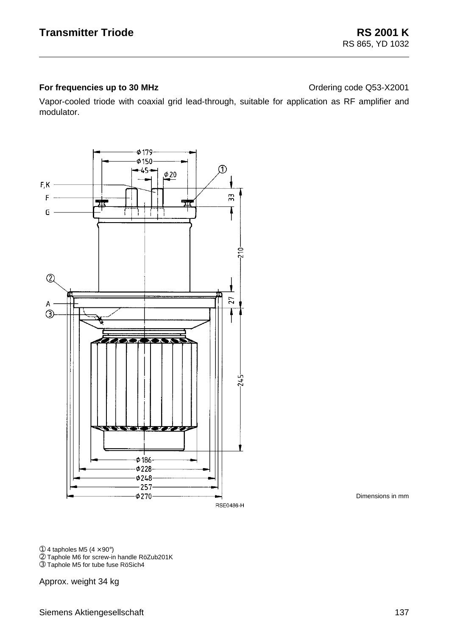## **For frequencies up to 30 MHz Constanting Code Q53-X2001**

Vapor-cooled triode with coaxial grid lead-through, suitable for application as RF amplifier and modulator.



Dimensions in mm

➀ 4 tapholes M5 (4 × 90°) ➁ Taphole M6 for screw-in handle RöZub201K

➂ Taphole M5 for tube fuse RöSich4

Approx. weight 34 kg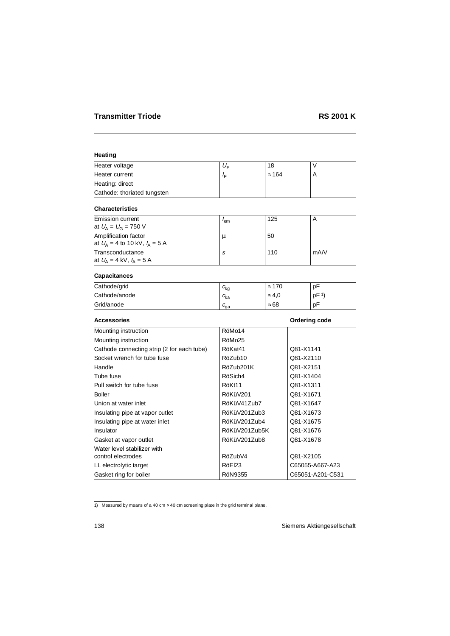# **Heating**

| Heater voltage              | U∈                | 18            |  |
|-----------------------------|-------------------|---------------|--|
| Heater current              | $I_{\sqsubseteq}$ | $\approx 164$ |  |
| Heating: direct             |                   |               |  |
| Cathode: thoriated tungsten |                   |               |  |

## **Characteristics**

| Emission current<br>at $U_{\rm A} = U_{\rm G} = 750$ V                 | lem | 125 | A    |
|------------------------------------------------------------------------|-----|-----|------|
| Amplification factor<br>at $U_{\rm A} = 4$ to 10 kV, $I_{\rm A} = 5$ A | и   | 50  |      |
| Transconductance<br>at $U_{\rm A} = 4$ kV, $I_{\rm A} = 5$ A           | S   | 110 | mA/V |

# **Capacitances**

| Cathode/grid  | $c_{\mathsf{kg}}$ | 170<br>$\approx$ | pF              |
|---------------|-------------------|------------------|-----------------|
| Cathode/anode | $c_{\rm ka}$      | $\approx 4.0$    | pF <sup>1</sup> |
| Grid/anode    | ∟ga               | $\approx 68$     | pF              |

| <b>Accessories</b>                         |                    | Ordering code    |
|--------------------------------------------|--------------------|------------------|
| Mounting instruction                       | RöMo14             |                  |
| Mounting instruction                       | RöMo <sub>25</sub> |                  |
| Cathode connecting strip (2 for each tube) | RöKat41            | Q81-X1141        |
| Socket wrench for tube fuse                | RöZub10            | Q81-X2110        |
| Handle                                     | RöZub201K          | Q81-X2151        |
| Tube fuse                                  | RöSich4            | Q81-X1404        |
| Pull switch for tube fuse                  | RöKt11             | Q81-X1311        |
| Boiler                                     | RöKüV201           | Q81-X1671        |
| Union at water inlet                       | RöKüV41Zub7        | Q81-X1647        |
| Insulating pipe at vapor outlet            | RöKüV201Zub3       | Q81-X1673        |
| Insulating pipe at water inlet             | RöKüV201Zub4       | Q81-X1675        |
| Insulator                                  | RöKüV201Zub5K      | Q81-X1676        |
| Gasket at vapor outlet                     | RöKüV201Zub8       | Q81-X1678        |
| Water level stabilizer with                |                    |                  |
| control electrodes                         | RöZubV4            | Q81-X2105        |
| LL electrolytic target                     | RöEl23             | C65055-A667-A23  |
| Gasket ring for boiler                     | RöN9355            | C65051-A201-C531 |

<sup>1)</sup> Measured by means of a 40 cm  $\times$  40 cm screening plate in the grid terminal plane.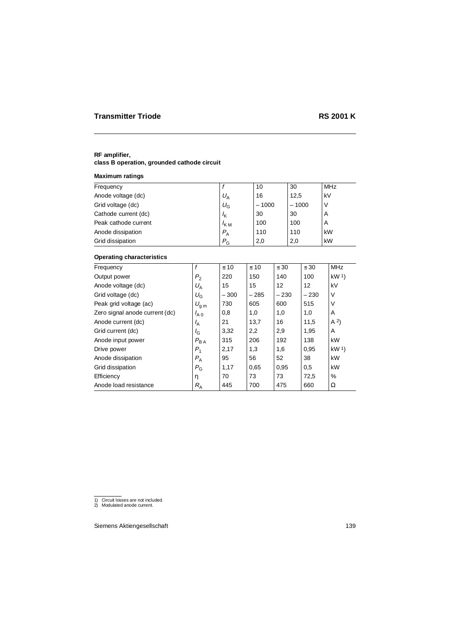## **RF amplifier,**

# **class B operation, grounded cathode circuit**

### **Maximum ratings**

| Frequency            |                  | 10      | 30      | MHz |
|----------------------|------------------|---------|---------|-----|
| Anode voltage (dc)   | $U_{\rm A}$      | 16      | 12,5    | kV  |
| Grid voltage (dc)    | $U_{\rm G}$      | $-1000$ | $-1000$ | ν   |
| Cathode current (dc) | $I_{\mathsf{K}}$ | 30      | 30      | A   |
| Peak cathode current | $I_{KM}$         | 100     | 100     | A   |
| Anode dissipation    | $P_{\rm A}$      | 110     | 110     | kW  |
| Grid dissipation     | $P_{G}$          | 2,0     | 2,0     | kW  |
|                      |                  |         |         |     |

| Frequency                      | f              | $\leq 10$ | $\leq 10$ | $\leq 30$ | $\leq 30$ | <b>MHz</b>        |
|--------------------------------|----------------|-----------|-----------|-----------|-----------|-------------------|
| Output power                   | P <sub>2</sub> | 220       | 150       | 140       | 100       | kW <sup>1</sup>   |
| Anode voltage (dc)             | $U_A$          | 15        | 15        | 12        | 12        | kV                |
| Grid voltage (dc)              | $U_{\rm G}$    | $-300$    | $-285$    | $-230$    | $-230$    | $\vee$            |
| Peak grid voltage (ac)         | $U_{\rm g\,m}$ | 730       | 605       | 600       | 515       | $\vee$            |
| Zero signal anode current (dc) | $I_{A,0}$      | 0,8       | 1,0       | 1,0       | 1,0       | A                 |
| Anode current (dc)             | $I_A$          | 21        | 13,7      | 16        | 11,5      | (A <sup>2</sup> ) |
| Grid current (dc)              | $I_{G}$        | 3,32      | 2,2       | 2,9       | 1,95      | A                 |
| Anode input power              | $P_{BA}$       | 315       | 206       | 192       | 138       | kW                |
| Drive power                    | $P_1$          | 2,17      | 1,3       | 1,6       | 0,95      | kW <sup>1</sup>   |
| Anode dissipation              | $P_{A}$        | 95        | 56        | 52        | 38        | kW                |
| Grid dissipation               | $P_{\rm G}$    | 1,17      | 0.65      | 0,95      | 0.5       | kW                |
| Efficiency                     | η              | 70        | 73        | 73        | 72,5      | %                 |
| Anode load resistance          | $R_{\rm A}$    | 445       | 700       | 475       | 660       | Ω                 |

<sup>1)</sup> Circuit losses are not included. 2) Modulated anode current.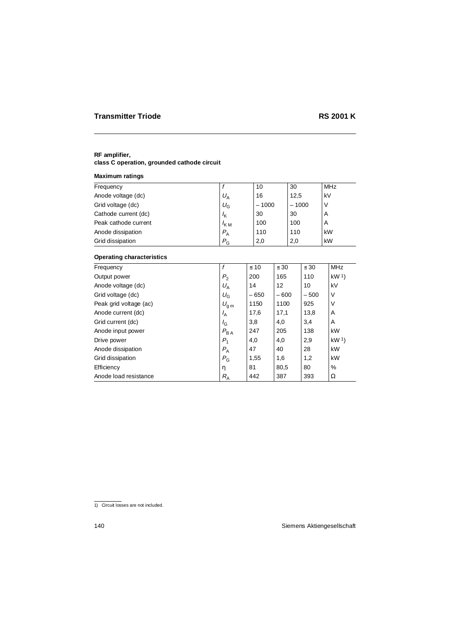## **RF amplifier,**

# **class C operation, grounded cathode circuit**

### **Maximum ratings**

| Frequency            |                  | 10      | 30      | MHz |
|----------------------|------------------|---------|---------|-----|
| Anode voltage (dc)   | $U_{\rm A}$      | 16      | 12,5    | kV  |
| Grid voltage (dc)    | $U_{\rm G}$      | $-1000$ | $-1000$ | ν   |
| Cathode current (dc) | $I_{\mathsf{K}}$ | 30      | 30      | A   |
| Peak cathode current | $I_{KM}$         | 100     | 100     | A   |
| Anode dissipation    | $P_{\rm A}$      | 110     | 110     | kW  |
| Grid dissipation     | $P_{G}$          | 2,0     | 2,0     | kW  |
|                      |                  |         |         |     |

| Frequency              |                | $\leq 10$ | $\leq 30$ | $\leq 30$ | <b>MHz</b>      |
|------------------------|----------------|-----------|-----------|-----------|-----------------|
| Output power           | $P_{2}$        | 200       | 165       | 110       | kW <sup>1</sup> |
| Anode voltage (dc)     | $U_A$          | 14        | 12        | 10        | kV              |
| Grid voltage (dc)      | $U_{\rm G}$    | $-650$    | $-600$    | $-500$    | $\vee$          |
| Peak grid voltage (ac) | $U_{\rm g\,m}$ | 1150      | 1100      | 925       | V               |
| Anode current (dc)     | $I_A$          | 17,6      | 17,1      | 13,8      | A               |
| Grid current (dc)      | $I_{\rm G}$    | 3,8       | 4,0       | 3,4       | A               |
| Anode input power      | $P_{BA}$       | 247       | 205       | 138       | kW              |
| Drive power            | $P_1$          | 4,0       | 4,0       | 2,9       | kW <sup>1</sup> |
| Anode dissipation      | $P_{\rm A}$    | 47        | 40        | 28        | kW              |
| Grid dissipation       | $P_{\rm G}$    | 1,55      | 1,6       | 1,2       | kW              |
| Efficiency             | η              | 81        | 80,5      | 80        | %               |
| Anode load resistance  | $R_{\rm A}$    | 442       | 387       | 393       | Ω               |

<sup>1)</sup> Circuit losses are not included.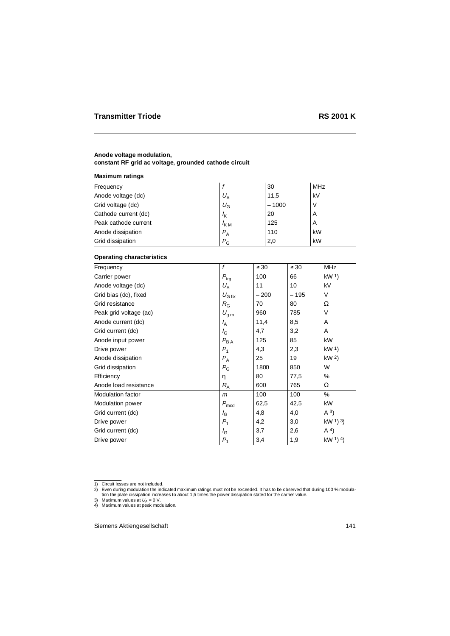#### **Anode voltage modulation, constant RF grid ac voltage, grounded cathode circuit**

#### **Maximum ratings**

| Frequency            |                  | 30      | MHz |
|----------------------|------------------|---------|-----|
| Anode voltage (dc)   | $U_{\mathsf{A}}$ | 11,5    | kV  |
| Grid voltage (dc)    | $U_{\rm G}$      | $-1000$ | V   |
| Cathode current (dc) | $I_{\mathsf{K}}$ | 20      | A   |
| Peak cathode current | $I_{KM}$         | 125     | A   |
| Anode dissipation    | $P_{\rm A}$      | 110     | kW  |
| Grid dissipation     | $P_{\rm G}$      | 2,0     | kW  |

| Frequency                | f                  | $\leq 30$ | $\leq 30$ | <b>MHz</b>      |
|--------------------------|--------------------|-----------|-----------|-----------------|
| Carrier power            | $P_{\text{trg}}$   | 100       | 66        | kW <sup>1</sup> |
| Anode voltage (dc)       | $U_A$              | 11        | 10        | kV              |
| Grid bias (dc), fixed    | $U_{\text{G fix}}$ | $-200$    | $-195$    | $\vee$          |
| Grid resistance          | $R_{\rm G}$        | 70        | 80        | Ω               |
| Peak grid voltage (ac)   | $U_{\rm g\,m}$     | 960       | 785       | V               |
| Anode current (dc)       | $I_{\rm A}$        | 11,4      | 8,5       | A               |
| Grid current (dc)        | $I_{\rm G}$        | 4,7       | 3,2       | A               |
| Anode input power        | $P_{BA}$           | 125       | 85        | kW              |
| Drive power              | $P_1$              | 4,3       | 2,3       | kW <sup>1</sup> |
| Anode dissipation        | $P_{\rm A}$        | 25        | 19        | kW <sup>2</sup> |
| Grid dissipation         | $P_{\rm G}$        | 1800      | 850       | W               |
| Efficiency               | η                  | 80        | 77,5      | %               |
| Anode load resistance    | $R_{\rm A}$        | 600       | 765       | Ω               |
| <b>Modulation factor</b> | $\mathsf{m}$       | 100       | 100       | %               |
| Modulation power         | $P_{mod}$          | 62,5      | 42,5      | kW              |
| Grid current (dc)        | $I_{\rm G}$        | 4,8       | 4,0       | $(A^3)$         |
| Drive power              | $P_1$              | 4,2       | 3,0       | kW $(1)$ 3)     |
| Grid current (dc)        | $I_{\rm G}$        | 3,7       | 2,6       | A <sup>4</sup>  |
| Drive power              | $P_1$              | 3,4       | 1,9       | $kW1$ (4)       |

<sup>1)</sup> Circuit losses are not included.

<sup>2)</sup> Even during modulation the indicated maximum ratings must not be exceeded. It has to be observed that during 100 % modulation the plate dissipation increases to about 1,5 times the power dissipation stated for the carrier value.

<sup>3)</sup> Maximum values at  $U_A = 0$  V.

<sup>4)</sup> Maximum values at peak modulation.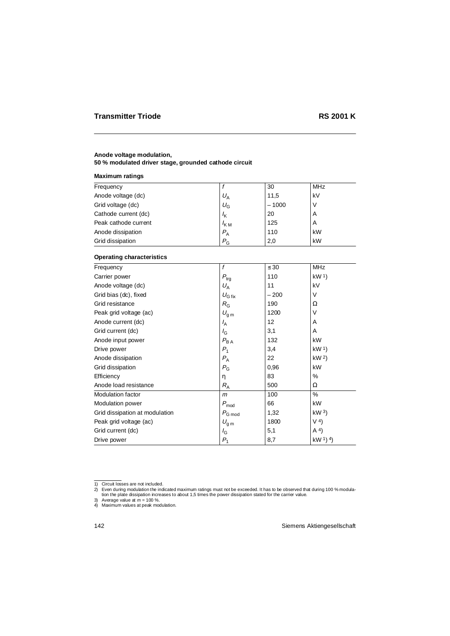## **Anode voltage modulation,**

### **50 % modulated driver stage, grounded cathode circuit**

#### **Maximum ratings**

| Frequency            |                  | 30      | <b>MHz</b> |
|----------------------|------------------|---------|------------|
| Anode voltage (dc)   | $U_{\rm A}$      | 11,5    | kV         |
| Grid voltage (dc)    | $U_{\rm G}$      | $-1000$ |            |
| Cathode current (dc) | $I_{\mathsf{K}}$ | 20      | A          |
| Peak cathode current | $K_{\rm M}$      | 125     | A          |
| Anode dissipation    | $P_{\rm A}$      | 110     | kW         |
| Grid dissipation     | $P_{\rm G}$      | 2,0     | kW         |

| Frequency                      | f                  | $\leq 30$ | <b>MHz</b>      |
|--------------------------------|--------------------|-----------|-----------------|
| Carrier power                  | $P_{\text{trg}}$   | 110       | kW <sup>1</sup> |
| Anode voltage (dc)             | $U_A$              | 11        | kV              |
| Grid bias (dc), fixed          | $U_{\text{G fix}}$ | $-200$    | $\vee$          |
| Grid resistance                | $R_{\rm G}$        | 190       | Ω               |
| Peak grid voltage (ac)         | $U_{\rm g\,m}$     | 1200      | V               |
| Anode current (dc)             | $I_{\mathsf{A}}$   | 12        | A               |
| Grid current (dc)              | $I_{\rm G}$        | 3,1       | A               |
| Anode input power              | $P_{BA}$           | 132       | kW              |
| Drive power                    | $P_1$              | 3,4       | kW <sup>1</sup> |
| Anode dissipation              | $P_{\rm A}$        | 22        | kW <sup>2</sup> |
| Grid dissipation               | $P_{\rm G}$        | 0,96      | kW              |
| Efficiency                     | η                  | 83        | %               |
| Anode load resistance          | $R_{\rm A}$        | 500       | Ω               |
| <b>Modulation factor</b>       | m                  | 100       | %               |
| <b>Modulation power</b>        | $P_{mod}$          | 66        | kW              |
| Grid dissipation at modulation | $P_{G \mod}$       | 1,32      | kW <sup>3</sup> |
| Peak grid voltage (ac)         | $U_{\rm g\,m}$     | 1800      | V <sup>4</sup>  |
| Grid current (dc)              | $I_{\rm G}$        | 5,1       | A <sup>4</sup>  |
| Drive power                    | $P_{1}$            | 8,7       | $kW1$ (4)       |

<sup>1)</sup> Circuit losses are not included.

<sup>-2)</sup> Even during modulation the indicated maximum ratings must not be exceeded. It has to be observed that during 100 % modula<br>tion the plate dissipation increases to about 1,5 times the power dissipation stated for the car

<sup>3)</sup> Average value at  $m = 100$  %.

<sup>4)</sup> Maximum values at peak modulation.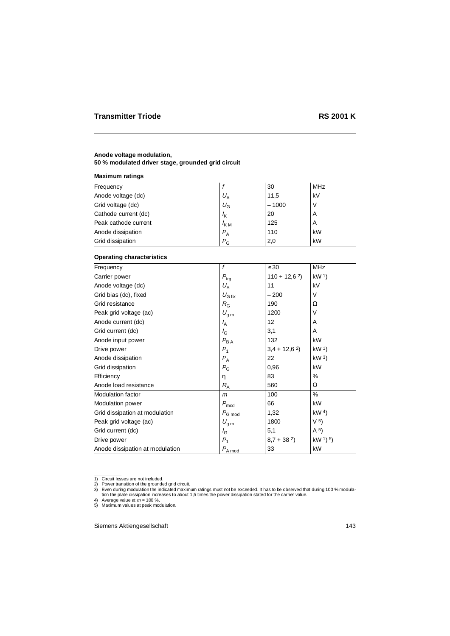### **Anode voltage modulation,**

**50 % modulated driver stage, grounded grid circuit**

#### **Maximum ratings**

| Frequency            |             | 30      | <b>MHz</b> |
|----------------------|-------------|---------|------------|
| Anode voltage (dc)   | $U_A$       | 11,5    | kV         |
| Grid voltage (dc)    | $U_{\rm G}$ | $-1000$ |            |
| Cathode current (dc) | $I_{\rm K}$ | 20      | A          |
| Peak cathode current | $K_{\rm M}$ | 125     | A          |
| Anode dissipation    | $P_{\rm A}$ | 110     | kW         |
| Grid dissipation     | $P_{\rm G}$ | 2,0     | kW         |

| Frequency                       | f                  | $\leq 30$      | <b>MHz</b>        |
|---------------------------------|--------------------|----------------|-------------------|
| Carrier power                   | $P_{\text{trg}}$   | $110 + 12,62$  | kW <sup>1</sup>   |
| Anode voltage (dc)              | $U_A$              | 11             | kV                |
| Grid bias (dc), fixed           | $U_{\text{G fix}}$ | $-200$         | V                 |
| Grid resistance                 | $R_{\rm G}$        | 190            | Ω                 |
| Peak grid voltage (ac)          | $U_{\rm g\,m}$     | 1200           | $\vee$            |
| Anode current (dc)              | $I_{\rm A}$        | 12             | A                 |
| Grid current (dc)               | $I_{\rm G}$        | 3,1            | A                 |
| Anode input power               | $P_{\mathsf{BA}}$  | 132            | kW                |
| Drive power                     | $P_1$              | $3,4 + 12,6^2$ | kW <sup>1</sup>   |
| Anode dissipation               | $P_{\rm A}$        | 22             | kW <sup>3</sup>   |
| Grid dissipation                | $P_{\rm G}$        | 0,96           | kW                |
| Efficiency                      | η                  | 83             | %                 |
| Anode load resistance           | $R_{\rm A}$        | 560            | Ω                 |
| <b>Modulation factor</b>        | m                  | 100            | %                 |
| <b>Modulation power</b>         | $P_{mod}$          | 66             | kW                |
| Grid dissipation at modulation  | $P_{G \mod}$       | 1,32           | kW <sup>4</sup>   |
| Peak grid voltage (ac)          | $U_{\text{g m}}$   | 1800           | V <sup>5</sup>    |
| Grid current (dc)               | $I_{\rm G}$        | 5,1            | (A <sup>5</sup> ) |
| Drive power                     | $P_1$              | $8,7 + 382$    | $kW1$ 5)          |
| Anode dissipation at modulation | $P_{A \mod}$       | 33             | kW                |

<sup>1)</sup> Circuit losses are not included.

<sup>2)</sup> Power transition of the grounded grid circuit.

<sup>3)</sup> Even during modulation the indicated maximum ratings must not be exceeded. It has to be observed that during 100 % modulation the plate dissipation increases to about 1,5 times the power dissipation stated for the carrier value.

<sup>4)</sup> Average value at  $m = 100$  %.

<sup>5)</sup> Maximum values at peak modulation.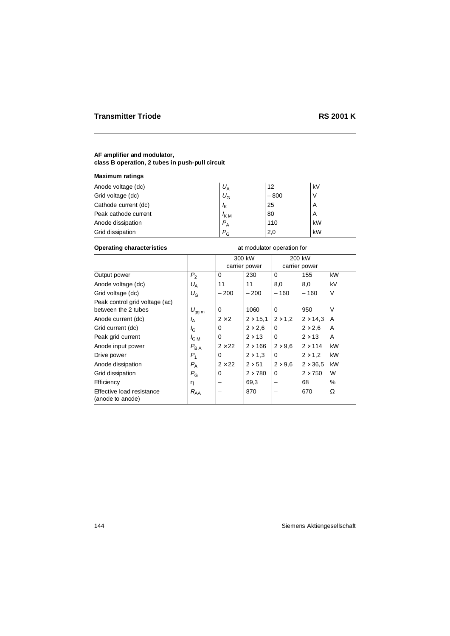# **AF amplifier and modulator, class B operation, 2 tubes in push-pull circuit**

## **Maximum ratings**

| Anode voltage (dc)   | $U_{\rm A}$      | 12     | kV |
|----------------------|------------------|--------|----|
| Grid voltage (dc)    | $U_{\rm G}$      | $-800$ |    |
| Cathode current (dc) | $l_{\mathsf{K}}$ | 25     | A  |
| Peak cathode current | $K$ M            | 80     | A  |
| Anode dissipation    | $P_{\rm A}$      | 110    | kW |
| Grid dissipation     | $P_{\rm G}$      | 2,0    | kW |

# **Operating characteristics** at modulator operation for

|                                               |                  |               | 300 kW          |                | 200 kW          |        |
|-----------------------------------------------|------------------|---------------|-----------------|----------------|-----------------|--------|
|                                               |                  |               | carrier power   |                | carrier power   |        |
| Output power                                  | P <sub>2</sub>   | $\Omega$      | 230             | 0              | 155             | kW     |
| Anode voltage (dc)                            | $U_A$            | 11            | 11              | 8,0            | 8,0             | kV     |
| Grid voltage (dc)                             | $U_{\rm G}$      | $-200$        | $-200$          | $-160$         | $-160$          | $\vee$ |
| Peak control grid voltage (ac)                |                  |               |                 |                |                 |        |
| between the 2 tubes                           | $U_{gg,m}$       | 0             | 1060            | 0              | 950             | V      |
| Anode current (dc)                            | $I_{\rm A}$      | $2 \times 2$  | $2 \times 15.1$ | $2 \times 1.2$ | $2 \times 14.3$ | A      |
| Grid current (dc)                             | $I_{\rm G}$      | 0             | $2 \times 2.6$  | 0              | $2 \times 2,6$  | A      |
| Peak grid current                             | $I_{\text{G M}}$ | 0             | $2 \times 13$   | 0              | $2 \times 13$   | A      |
| Anode input power                             | $P_{BA}$         | $2 \times 22$ | $2 \times 166$  | $2 \times 9.6$ | $2 \times 114$  | kW     |
| Drive power                                   | $P_1$            | 0             | $2 \times 1.3$  | 0              | $2 \times 1.2$  | kW     |
| Anode dissipation                             | $P_{\rm A}$      | $2 \times 22$ | $2 \times 51$   | $2 \times 9.6$ | $2 \times 36.5$ | kW     |
| Grid dissipation                              | $P_{G}$          | 0             | $2 \times 780$  | 0              | $2 \times 750$  | W      |
| Efficiency                                    | η                |               | 69,3            |                | 68              | %      |
| Effective load resistance<br>(anode to anode) | $R_{AA}$         |               | 870             |                | 670             | Ω      |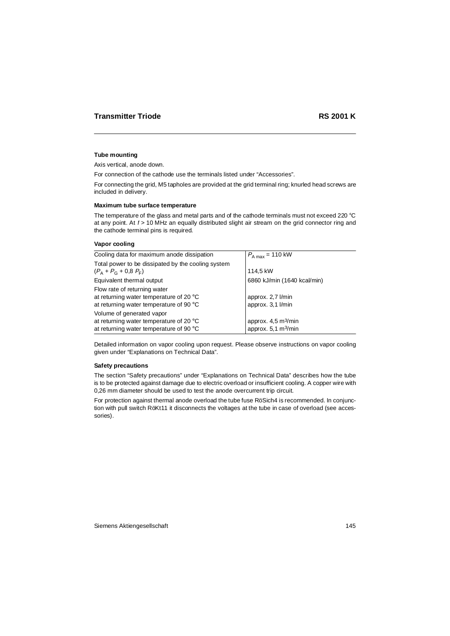#### **Tube mounting**

Axis vertical, anode down.

For connection of the cathode use the terminals listed under "Accessories".

For connecting the grid, M5 tapholes are provided at the grid terminal ring; knurled head screws are included in delivery.

#### **Maximum tube surface temperature**

The temperature of the glass and metal parts and of the cathode terminals must not exceed 220 °C at any point. At  $t > 10$  MHz an equally distributed slight air stream on the grid connector ring and the cathode terminal pins is required.

## **Vapor cooling**

| $P_{A max}$ = 110 kW                 |
|--------------------------------------|
|                                      |
| 114,5 kW                             |
| 6860 kJ/min (1640 kcal/min)          |
|                                      |
| approx. 2,7 l/min                    |
| approx. 3,1 l/min                    |
|                                      |
| approx. $4.5 \text{ m}^3/\text{min}$ |
| approx. $5,1 \text{ m}^3/\text{min}$ |
|                                      |

Detailed information on vapor cooling upon request. Please observe instructions on vapor cooling given under "Explanations on Technical Data".

#### **Safety precautions**

The section "Safety precautions" under "Explanations on Technical Data" describes how the tube is to be protected against damage due to electric overload or insufficient cooling. A copper wire with 0,26 mm diameter should be used to test the anode overcurrent trip circuit.

For protection against thermal anode overload the tube fuse RöSich4 is recommended. In conjunction with pull switch RöKt11 it disconnects the voltages at the tube in case of overload (see accessories).